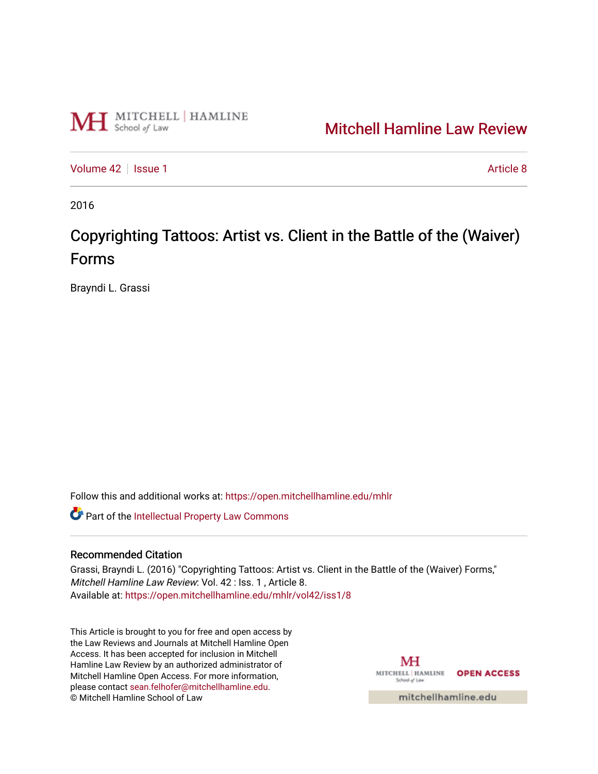

## [Mitchell Hamline Law Review](https://open.mitchellhamline.edu/mhlr)

[Volume 42](https://open.mitchellhamline.edu/mhlr/vol42) | [Issue 1](https://open.mitchellhamline.edu/mhlr/vol42/iss1) Article 8

2016

# Copyrighting Tattoos: Artist vs. Client in the Battle of the (Waiver) Forms

Brayndi L. Grassi

Follow this and additional works at: [https://open.mitchellhamline.edu/mhlr](https://open.mitchellhamline.edu/mhlr?utm_source=open.mitchellhamline.edu%2Fmhlr%2Fvol42%2Fiss1%2F8&utm_medium=PDF&utm_campaign=PDFCoverPages) 

**Part of the Intellectual Property Law Commons** 

#### Recommended Citation

Grassi, Brayndi L. (2016) "Copyrighting Tattoos: Artist vs. Client in the Battle of the (Waiver) Forms," Mitchell Hamline Law Review: Vol. 42 : Iss. 1 , Article 8. Available at: [https://open.mitchellhamline.edu/mhlr/vol42/iss1/8](https://open.mitchellhamline.edu/mhlr/vol42/iss1/8?utm_source=open.mitchellhamline.edu%2Fmhlr%2Fvol42%2Fiss1%2F8&utm_medium=PDF&utm_campaign=PDFCoverPages) 

This Article is brought to you for free and open access by the Law Reviews and Journals at Mitchell Hamline Open Access. It has been accepted for inclusion in Mitchell Hamline Law Review by an authorized administrator of Mitchell Hamline Open Access. For more information, please contact [sean.felhofer@mitchellhamline.edu.](mailto:sean.felhofer@mitchellhamline.edu) © Mitchell Hamline School of Law

MH MITCHELL | HAMLINE OPEN ACCESS School of Law

mitchellhamline.edu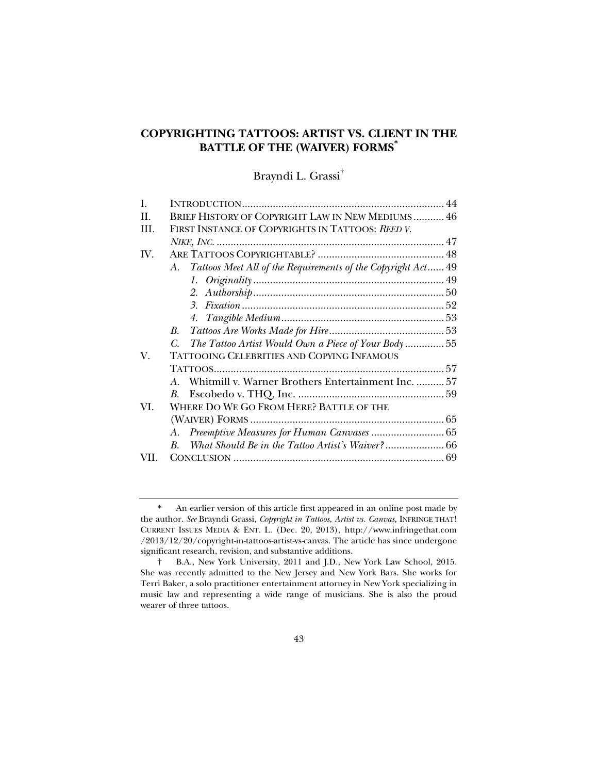### **COPYRIGHTING TATTOOS: ARTIST VS. CLIENT IN THE BATTLE OF THE (WAIVER) FORMS\***

Brayndi L. Grassi†

| L   |                                                                 |
|-----|-----------------------------------------------------------------|
| H   | <b>BRIEF HISTORY OF COPYRIGHT LAW IN NEW MEDIUMS 46</b>         |
| Ш   | FIRST INSTANCE OF COPYRIGHTS IN TATTOOS: REED V.                |
|     |                                                                 |
| IV. |                                                                 |
|     | A. Tattoos Meet All of the Requirements of the Copyright Act 49 |
|     |                                                                 |
|     |                                                                 |
|     |                                                                 |
|     |                                                                 |
|     | $B_{\cdot}$                                                     |
|     | The Tattoo Artist Would Own a Piece of Your Body55<br>C.        |
| V.  | TATTOOING CELEBRITIES AND COPYING INFAMOUS                      |
|     | 57                                                              |
|     | Whitmill v. Warner Brothers Entertainment Inc.  57<br>A         |
|     | В.                                                              |
| VI. | WHERE DO WE GO FROM HERE? BATTLE OF THE                         |
|     |                                                                 |
|     | A.                                                              |
|     | $\boldsymbol{B}$                                                |
| VH. |                                                                 |
|     |                                                                 |

 <sup>\*</sup> An earlier version of this article first appeared in an online post made by the author. *See* Brayndi Grassi, *Copyright in Tattoos, Artist vs. Canvas*, INFRINGE THAT! CURRENT ISSUES MEDIA & ENT. L. (Dec. 20, 2013), http://www.infringethat.com /2013/12/20/copyright-in-tattoos-artist-vs-canvas. The article has since undergone significant research, revision, and substantive additions.

 <sup>†</sup> B.A., New York University, 2011 and J.D., New York Law School, 2015. She was recently admitted to the New Jersey and New York Bars. She works for Terri Baker, a solo practitioner entertainment attorney in New York specializing in music law and representing a wide range of musicians. She is also the proud wearer of three tattoos.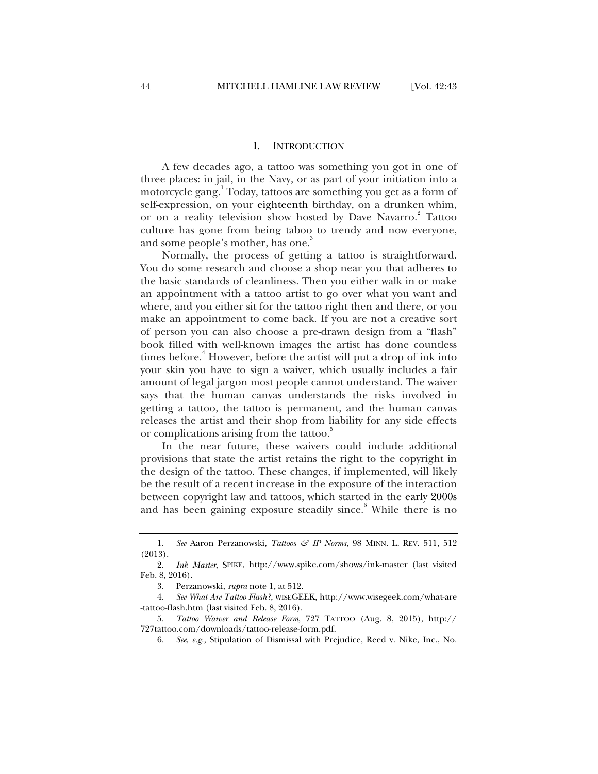#### I. INTRODUCTION

A few decades ago, a tattoo was something you got in one of three places: in jail, in the Navy, or as part of your initiation into a motorcycle gang.<sup>1</sup> Today, tattoos are something you get as a form of self-expression, on your eighteenth birthday, on a drunken whim, or on a reality television show hosted by Dave Navarro.<sup>2</sup> Tattoo culture has gone from being taboo to trendy and now everyone, and some people's mother, has one.<sup>3</sup>

Normally, the process of getting a tattoo is straightforward. You do some research and choose a shop near you that adheres to the basic standards of cleanliness. Then you either walk in or make an appointment with a tattoo artist to go over what you want and where, and you either sit for the tattoo right then and there, or you make an appointment to come back. If you are not a creative sort of person you can also choose a pre-drawn design from a "flash" book filled with well-known images the artist has done countless times before.<sup>4</sup> However, before the artist will put a drop of ink into your skin you have to sign a waiver, which usually includes a fair amount of legal jargon most people cannot understand. The waiver says that the human canvas understands the risks involved in getting a tattoo, the tattoo is permanent, and the human canvas releases the artist and their shop from liability for any side effects or complications arising from the tattoo.<sup>3</sup>

In the near future, these waivers could include additional provisions that state the artist retains the right to the copyright in the design of the tattoo. These changes, if implemented, will likely be the result of a recent increase in the exposure of the interaction between copyright law and tattoos, which started in the early 2000s and has been gaining exposure steadily since.<sup>6</sup> While there is no

 <sup>1.</sup> *See* Aaron Perzanowski, *Tattoos & IP Norms*, 98 MINN. L. REV. 511, 512 (2013).

 <sup>2.</sup> *Ink Master*, SPIKE, http://www.spike.com/shows/ink-master (last visited Feb. 8, 2016).

 <sup>3.</sup> Perzanowski, *supra* note 1, at 512.

 <sup>4.</sup> *See What Are Tattoo Flash?*, WISEGEEK, http://www.wisegeek.com/what-are -tattoo-flash.htm (last visited Feb. 8, 2016).

 <sup>5.</sup> *Tattoo Waiver and Release Form*, 727 TATTOO (Aug. 8, 2015), http:// 727tattoo.com/downloads/tattoo-release-form.pdf.

 <sup>6.</sup> *See, e.g.*, Stipulation of Dismissal with Prejudice, Reed v. Nike, Inc., No.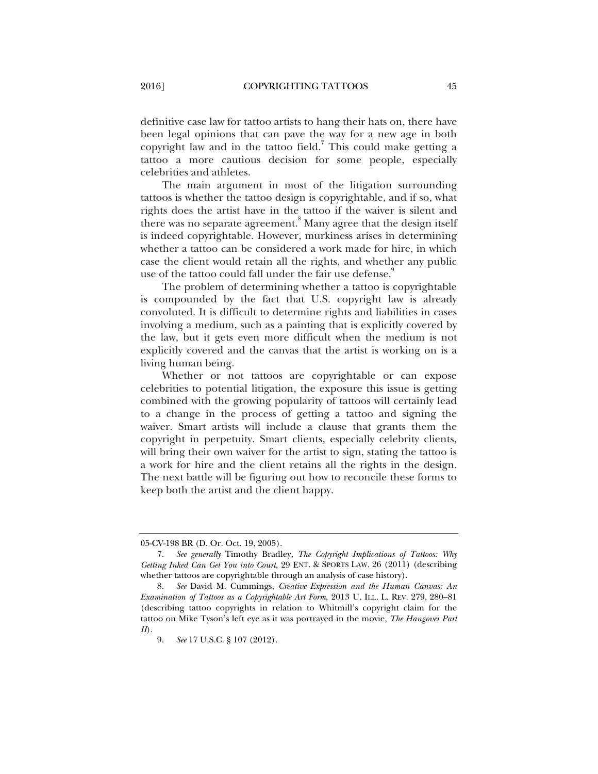definitive case law for tattoo artists to hang their hats on, there have been legal opinions that can pave the way for a new age in both copyright law and in the tattoo field.<sup>7</sup> This could make getting a tattoo a more cautious decision for some people, especially celebrities and athletes.

The main argument in most of the litigation surrounding tattoos is whether the tattoo design is copyrightable, and if so, what rights does the artist have in the tattoo if the waiver is silent and there was no separate agreement.<sup>8</sup> Many agree that the design itself is indeed copyrightable. However, murkiness arises in determining whether a tattoo can be considered a work made for hire, in which case the client would retain all the rights, and whether any public use of the tattoo could fall under the fair use defense.<sup>9</sup>

The problem of determining whether a tattoo is copyrightable is compounded by the fact that U.S. copyright law is already convoluted. It is difficult to determine rights and liabilities in cases involving a medium, such as a painting that is explicitly covered by the law, but it gets even more difficult when the medium is not explicitly covered and the canvas that the artist is working on is a living human being.

Whether or not tattoos are copyrightable or can expose celebrities to potential litigation, the exposure this issue is getting combined with the growing popularity of tattoos will certainly lead to a change in the process of getting a tattoo and signing the waiver. Smart artists will include a clause that grants them the copyright in perpetuity. Smart clients, especially celebrity clients, will bring their own waiver for the artist to sign, stating the tattoo is a work for hire and the client retains all the rights in the design. The next battle will be figuring out how to reconcile these forms to keep both the artist and the client happy.

<sup>05-</sup>CV-198 BR (D. Or. Oct. 19, 2005).

 <sup>7.</sup> *See generally* Timothy Bradley, *The Copyright Implications of Tattoos: Why Getting Inked Can Get You into Court*, 29 ENT. & SPORTS LAW. 26 (2011) (describing whether tattoos are copyrightable through an analysis of case history).

 <sup>8.</sup> *See* David M. Cummings, *Creative Expression and the Human Canvas: An Examination of Tattoos as a Copyrightable Art Form*, 2013 U. ILL. L. REV. 279, 280–81 (describing tattoo copyrights in relation to Whitmill's copyright claim for the tattoo on Mike Tyson's left eye as it was portrayed in the movie, *The Hangover Part II*).

 <sup>9.</sup> *See* 17 U.S.C. § 107 (2012).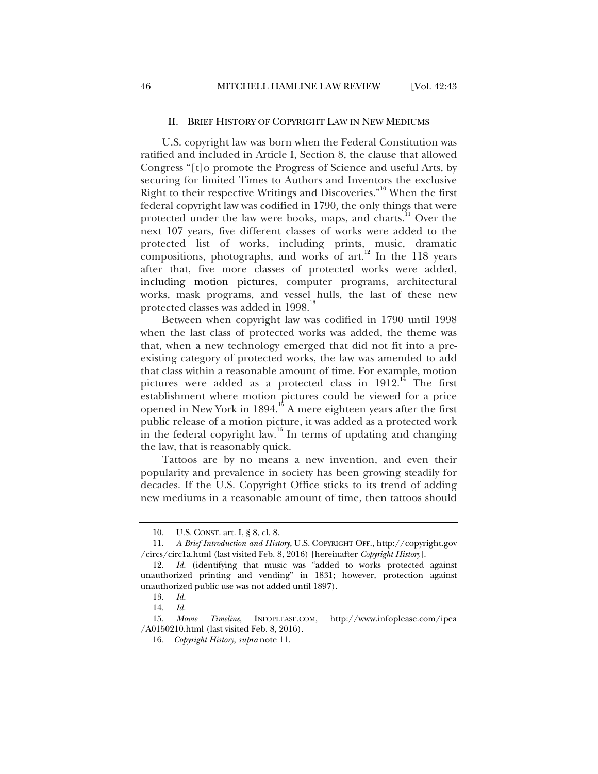#### II. BRIEF HISTORY OF COPYRIGHT LAW IN NEW MEDIUMS

U.S. copyright law was born when the Federal Constitution was ratified and included in Article I, Section 8, the clause that allowed Congress "[t]o promote the Progress of Science and useful Arts, by securing for limited Times to Authors and Inventors the exclusive Right to their respective Writings and Discoveries."<sup>10</sup> When the first federal copyright law was codified in 1790, the only things that were protected under the law were books, maps, and charts.<sup>11</sup> Over the next 107 years, five different classes of works were added to the protected list of works, including prints, music, dramatic compositions, photographs, and works of  $art<sup>12</sup>$  In the 118 years after that, five more classes of protected works were added, including motion pictures, computer programs, architectural works, mask programs, and vessel hulls, the last of these new protected classes was added in 1998.<sup>13</sup>

Between when copyright law was codified in 1790 until 1998 when the last class of protected works was added, the theme was that, when a new technology emerged that did not fit into a preexisting category of protected works, the law was amended to add that class within a reasonable amount of time. For example, motion pictures were added as a protected class in  $1912<sup>14</sup>$ . The first establishment where motion pictures could be viewed for a price opened in New York in  $1894.<sup>15</sup>$  A mere eighteen years after the first public release of a motion picture, it was added as a protected work in the federal copyright law.<sup>16</sup> In terms of updating and changing the law, that is reasonably quick.

Tattoos are by no means a new invention, and even their popularity and prevalence in society has been growing steadily for decades. If the U.S. Copyright Office sticks to its trend of adding new mediums in a reasonable amount of time, then tattoos should

 <sup>10.</sup> U.S. CONST. art. I, § 8, cl. 8.

 <sup>11.</sup> *A Brief Introduction and History*, U.S. COPYRIGHT OFF., http://copyright.gov /circs/circ1a.html (last visited Feb. 8, 2016) [hereinafter *Copyright History*].

 <sup>12.</sup> *Id.* (identifying that music was "added to works protected against unauthorized printing and vending" in 1831; however, protection against unauthorized public use was not added until 1897).

 <sup>13.</sup> *Id.*

 <sup>14.</sup> *Id.*

 <sup>15.</sup> *Movie Timeline*, INFOPLEASE.COM, http://www.infoplease.com/ipea /A0150210.html (last visited Feb. 8, 2016).

<sup>16</sup>*. Copyright History*, *supra* note 11.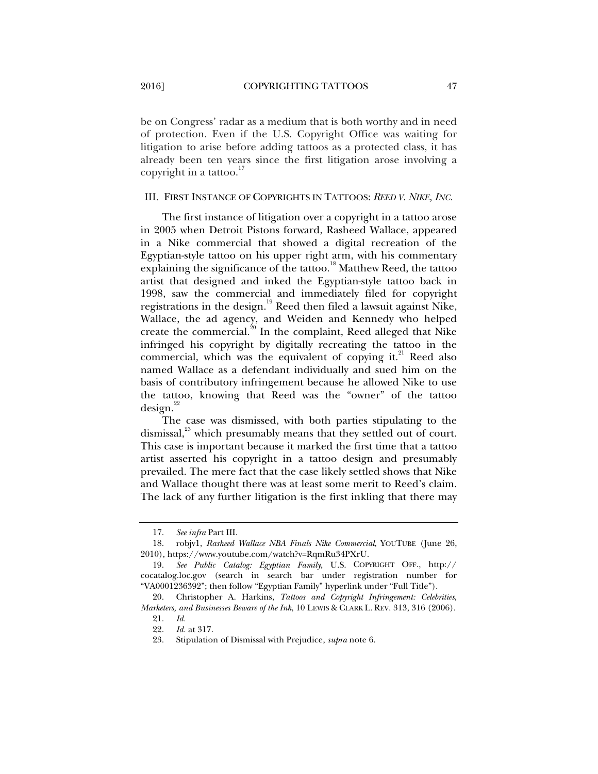be on Congress' radar as a medium that is both worthy and in need of protection. Even if the U.S. Copyright Office was waiting for litigation to arise before adding tattoos as a protected class, it has already been ten years since the first litigation arose involving a copyright in a tattoo. $\frac{17}{10}$ 

#### III. FIRST INSTANCE OF COPYRIGHTS IN TATTOOS: *REED V. NIKE, INC.*

The first instance of litigation over a copyright in a tattoo arose in 2005 when Detroit Pistons forward, Rasheed Wallace, appeared in a Nike commercial that showed a digital recreation of the Egyptian-style tattoo on his upper right arm, with his commentary explaining the significance of the tattoo.<sup>18</sup> Matthew Reed, the tattoo artist that designed and inked the Egyptian-style tattoo back in 1998, saw the commercial and immediately filed for copyright registrations in the design.<sup>19</sup> Reed then filed a lawsuit against Nike, Wallace, the ad agency, and Weiden and Kennedy who helped create the commercial. $^{20}$  In the complaint, Reed alleged that Nike infringed his copyright by digitally recreating the tattoo in the commercial, which was the equivalent of copying it. $^{21}$  Reed also named Wallace as a defendant individually and sued him on the basis of contributory infringement because he allowed Nike to use the tattoo, knowing that Reed was the "owner" of the tattoo  $design.<sup>22</sup>$ 

The case was dismissed, with both parties stipulating to the dismissal,<sup>23</sup> which presumably means that they settled out of court. This case is important because it marked the first time that a tattoo artist asserted his copyright in a tattoo design and presumably prevailed. The mere fact that the case likely settled shows that Nike and Wallace thought there was at least some merit to Reed's claim. The lack of any further litigation is the first inkling that there may

 <sup>17.</sup> *See infra* Part III.

 <sup>18.</sup> robjv1, *Rasheed Wallace NBA Finals Nike Commercial*, YOUTUBE (June 26, 2010), https://www.youtube.com/watch?v=RqmRu34PXrU.

 <sup>19.</sup> *See Public Catalog: Egyptian Family*, U.S. COPYRIGHT OFF., http:// cocatalog.loc.gov (search in search bar under registration number for "VA0001236392"; then follow "Egyptian Family" hyperlink under "Full Title").

 <sup>20.</sup> Christopher A. Harkins, *Tattoos and Copyright Infringement: Celebrities, Marketers, and Businesses Beware of the Ink*, 10 LEWIS & CLARK L. REV. 313, 316 (2006).

 <sup>21.</sup> *Id.*

 <sup>22.</sup> *Id.* at 317.

 <sup>23.</sup> Stipulation of Dismissal with Prejudice, *supra* note 6.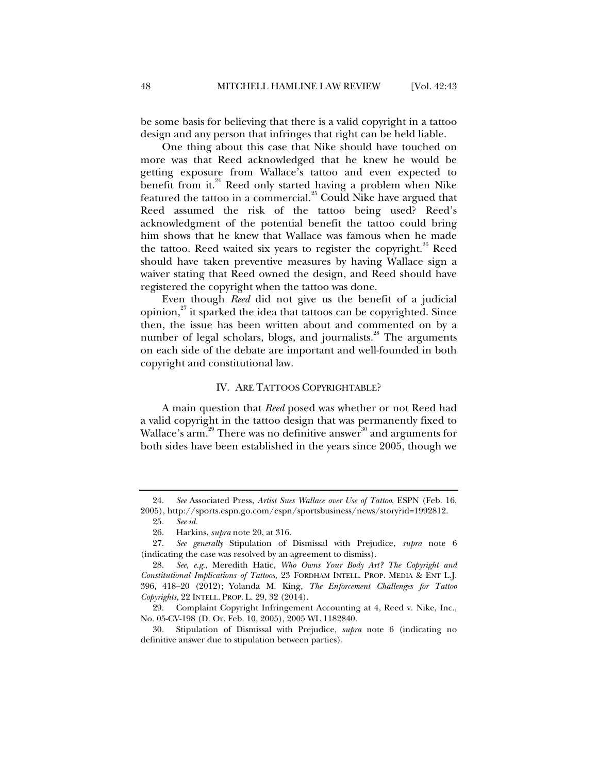be some basis for believing that there is a valid copyright in a tattoo design and any person that infringes that right can be held liable.

One thing about this case that Nike should have touched on more was that Reed acknowledged that he knew he would be getting exposure from Wallace's tattoo and even expected to benefit from it. $^{24}$  Reed only started having a problem when Nike featured the tattoo in a commercial. $^{25}$  Could Nike have argued that Reed assumed the risk of the tattoo being used? Reed's acknowledgment of the potential benefit the tattoo could bring him shows that he knew that Wallace was famous when he made the tattoo. Reed waited six years to register the copyright.<sup>26</sup> Reed should have taken preventive measures by having Wallace sign a waiver stating that Reed owned the design, and Reed should have registered the copyright when the tattoo was done.

Even though *Reed* did not give us the benefit of a judicial opinion, $27$  it sparked the idea that tattoos can be copyrighted. Since then, the issue has been written about and commented on by a number of legal scholars, blogs, and journalists.<sup>28</sup> The arguments on each side of the debate are important and well-founded in both copyright and constitutional law.

#### IV. ARE TATTOOS COPYRIGHTABLE?

A main question that *Reed* posed was whether or not Reed had a valid copyright in the tattoo design that was permanently fixed to Wallace's arm.<sup>29</sup> There was no definitive answer<sup>30</sup> and arguments for both sides have been established in the years since 2005, though we

 <sup>24.</sup> *See* Associated Press, *Artist Sues Wallace over Use of Tattoo*, ESPN (Feb. 16, 2005), http://sports.espn.go.com/espn/sportsbusiness/news/story?id=1992812.

 <sup>25.</sup> *See id.*

 <sup>26.</sup> Harkins, *supra* note 20, at 316.

 <sup>27.</sup> *See generally* Stipulation of Dismissal with Prejudice, *supra* note 6 (indicating the case was resolved by an agreement to dismiss).

 <sup>28.</sup> *See, e.g.*, Meredith Hatic, *Who Owns Your Body Art? The Copyright and Constitutional Implications of Tattoos*, 23 FORDHAM INTELL. PROP. MEDIA & ENT L.J. 396, 418–20 (2012); Yolanda M. King, *The Enforcement Challenges for Tattoo Copyrights*, 22 INTELL. PROP. L. 29, 32 (2014).

 <sup>29.</sup> Complaint Copyright Infringement Accounting at 4, Reed v. Nike, Inc., No. 05-CV-198 (D. Or. Feb. 10, 2005), 2005 WL 1182840.

 <sup>30.</sup> Stipulation of Dismissal with Prejudice, *supra* note 6 (indicating no definitive answer due to stipulation between parties).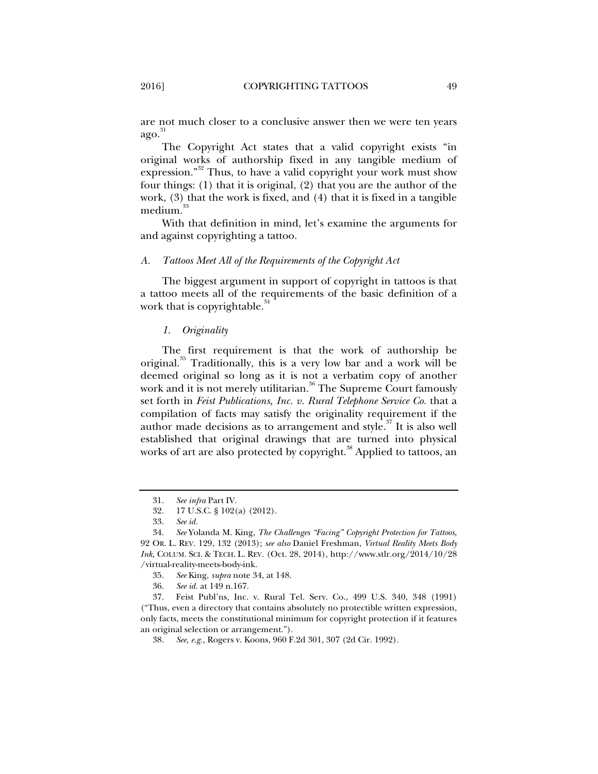are not much closer to a conclusive answer then we were ten years  $a\text{go.}^{31}$ 

The Copyright Act states that a valid copyright exists "in original works of authorship fixed in any tangible medium of expression."<sup>32</sup> Thus, to have a valid copyright your work must show four things: (1) that it is original, (2) that you are the author of the work, (3) that the work is fixed, and (4) that it is fixed in a tangible medium.<sup>33</sup>

With that definition in mind, let's examine the arguments for and against copyrighting a tattoo.

#### *A. Tattoos Meet All of the Requirements of the Copyright Act*

The biggest argument in support of copyright in tattoos is that a tattoo meets all of the requirements of the basic definition of a work that is copyrightable.<sup>34</sup>

#### *1. Originality*

The first requirement is that the work of authorship be original.<sup>35</sup> Traditionally, this is a very low bar and a work will be deemed original so long as it is not a verbatim copy of another work and it is not merely utilitarian.<sup>36</sup> The Supreme Court famously set forth in *Feist Publications, Inc. v. Rural Telephone Service Co.* that a compilation of facts may satisfy the originality requirement if the author made decisions as to arrangement and style.<sup> $37$ </sup> It is also well established that original drawings that are turned into physical works of art are also protected by copyright.<sup>38</sup> Applied to tattoos, an

 <sup>31.</sup> *See infra* Part IV.

 <sup>32. 17</sup> U.S.C. § 102(a) (2012).

 <sup>33.</sup> *See id.*

 <sup>34.</sup> *See* Yolanda M. King, *The Challenges "Facing" Copyright Protection for Tattoos*, 92 OR. L. REV. 129, 132 (2013); *see also* Daniel Freshman, *Virtual Reality Meets Body Ink*, COLUM. SCI. & TECH. L. REV. (Oct. 28, 2014), http://www.stlr.org/2014/10/28 /virtual-reality-meets-body-ink.

 <sup>35.</sup> *See* King, *supra* note 34, at 148.

 <sup>36.</sup> *See id.* at 149 n.167.

 <sup>37.</sup> Feist Publ'ns, Inc. v. Rural Tel. Serv. Co., 499 U.S. 340, 348 (1991) ("Thus, even a directory that contains absolutely no protectible written expression, only facts, meets the constitutional minimum for copyright protection if it features an original selection or arrangement.").

 <sup>38.</sup> *See, e.g.*, Rogers v. Koons, 960 F.2d 301, 307 (2d Cir. 1992).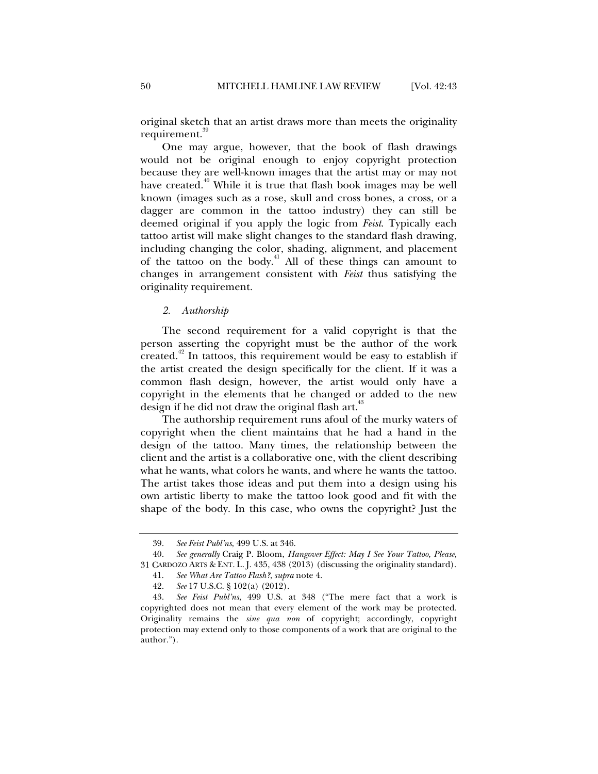original sketch that an artist draws more than meets the originality requirement.<sup>39</sup>

One may argue, however, that the book of flash drawings would not be original enough to enjoy copyright protection because they are well-known images that the artist may or may not have created. $40$  While it is true that flash book images may be well known (images such as a rose, skull and cross bones, a cross, or a dagger are common in the tattoo industry) they can still be deemed original if you apply the logic from *Feist*. Typically each tattoo artist will make slight changes to the standard flash drawing, including changing the color, shading, alignment, and placement of the tattoo on the body. $41$  All of these things can amount to changes in arrangement consistent with *Feist* thus satisfying the originality requirement.

#### *2. Authorship*

The second requirement for a valid copyright is that the person asserting the copyright must be the author of the work created.<sup> $42$ </sup> In tattoos, this requirement would be easy to establish if the artist created the design specifically for the client. If it was a common flash design, however, the artist would only have a copyright in the elements that he changed or added to the new design if he did not draw the original flash art.<sup>43</sup>

The authorship requirement runs afoul of the murky waters of copyright when the client maintains that he had a hand in the design of the tattoo. Many times, the relationship between the client and the artist is a collaborative one, with the client describing what he wants, what colors he wants, and where he wants the tattoo. The artist takes those ideas and put them into a design using his own artistic liberty to make the tattoo look good and fit with the shape of the body. In this case, who owns the copyright? Just the

 <sup>39.</sup> *See Feist Publ'ns*, 499 U.S. at 346.

 <sup>40.</sup> *See generally* Craig P. Bloom, *Hangover Effect: May I See Your Tattoo, Please,* 31 CARDOZO ARTS & ENT. L. J. 435, 438 (2013) (discussing the originality standard).

 <sup>41.</sup> *See What Are Tattoo Flash?*, *supra* note 4.

 <sup>42.</sup> *See* 17 U.S.C. § 102(a) (2012).

 <sup>43.</sup> *See Feist Publ'ns*, 499 U.S. at 348 ("The mere fact that a work is copyrighted does not mean that every element of the work may be protected. Originality remains the *sine qua non* of copyright; accordingly, copyright protection may extend only to those components of a work that are original to the author.").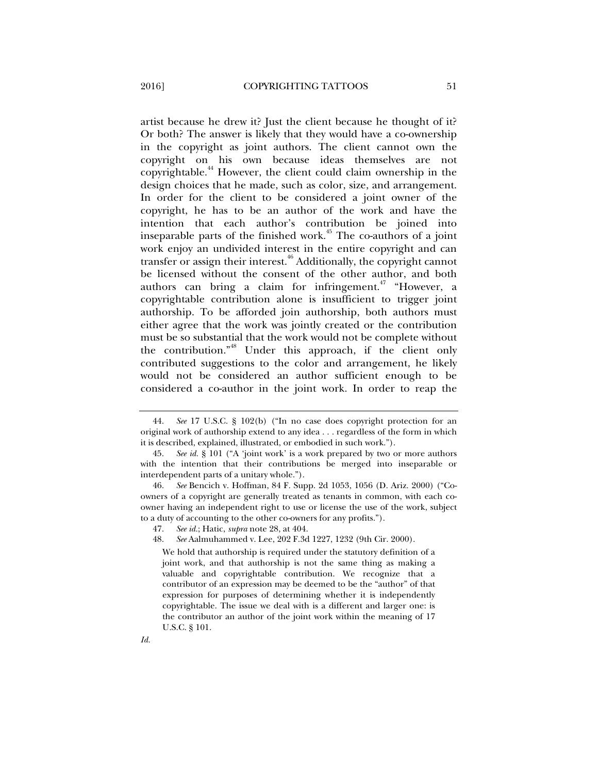artist because he drew it? Just the client because he thought of it? Or both? The answer is likely that they would have a co-ownership in the copyright as joint authors. The client cannot own the copyright on his own because ideas themselves are not copyrightable.44 However, the client could claim ownership in the design choices that he made, such as color, size, and arrangement. In order for the client to be considered a joint owner of the copyright, he has to be an author of the work and have the intention that each author's contribution be joined into inseparable parts of the finished work.<sup> $45$ </sup> The co-authors of a joint work enjoy an undivided interest in the entire copyright and can transfer or assign their interest.<sup>46</sup> Additionally, the copyright cannot be licensed without the consent of the other author, and both authors can bring a claim for infringement.<sup>47</sup> "However, a copyrightable contribution alone is insufficient to trigger joint authorship. To be afforded join authorship, both authors must either agree that the work was jointly created or the contribution

must be so substantial that the work would not be complete without the contribution."48 Under this approach, if the client only contributed suggestions to the color and arrangement, he likely would not be considered an author sufficient enough to be considered a co-author in the joint work. In order to reap the

48. *See* Aalmuhammed v. Lee, 202 F.3d 1227, 1232 (9th Cir. 2000).

We hold that authorship is required under the statutory definition of a joint work, and that authorship is not the same thing as making a valuable and copyrightable contribution. We recognize that a contributor of an expression may be deemed to be the "author" of that expression for purposes of determining whether it is independently copyrightable. The issue we deal with is a different and larger one: is the contributor an author of the joint work within the meaning of 17 U.S.C. § 101.

 <sup>44.</sup> *See* 17 U.S.C. § 102(b) ("In no case does copyright protection for an original work of authorship extend to any idea . . . regardless of the form in which it is described, explained, illustrated, or embodied in such work.").

 <sup>45.</sup> *See id.* § 101 ("A 'joint work' is a work prepared by two or more authors with the intention that their contributions be merged into inseparable or interdependent parts of a unitary whole.").

 <sup>46.</sup> *See* Bencich v. Hoffman, 84 F. Supp. 2d 1053, 1056 (D. Ariz. 2000) ("Coowners of a copyright are generally treated as tenants in common, with each coowner having an independent right to use or license the use of the work, subject to a duty of accounting to the other co-owners for any profits.").

 <sup>47.</sup> *See id.*; Hatic, *supra* note 28, at 404.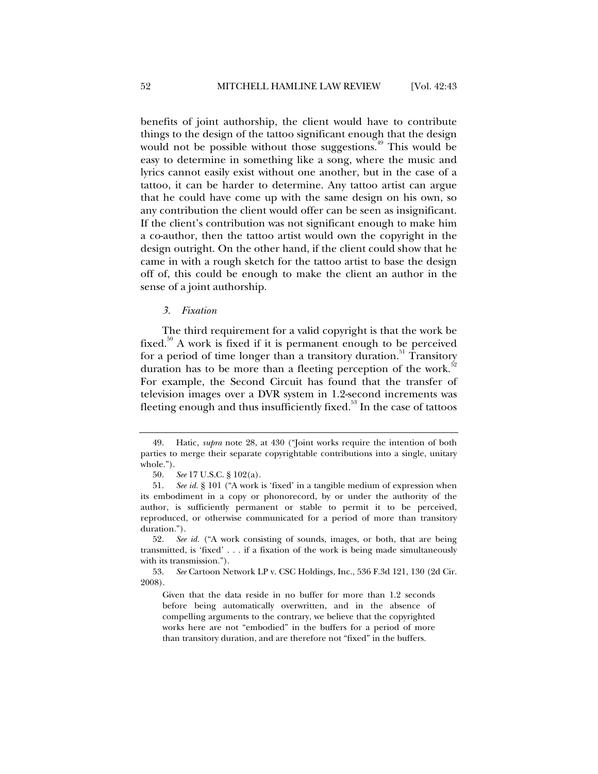benefits of joint authorship, the client would have to contribute things to the design of the tattoo significant enough that the design would not be possible without those suggestions.<sup> $49$ </sup> This would be easy to determine in something like a song, where the music and lyrics cannot easily exist without one another, but in the case of a tattoo, it can be harder to determine. Any tattoo artist can argue that he could have come up with the same design on his own, so any contribution the client would offer can be seen as insignificant. If the client's contribution was not significant enough to make him a co-author, then the tattoo artist would own the copyright in the design outright. On the other hand, if the client could show that he came in with a rough sketch for the tattoo artist to base the design off of, this could be enough to make the client an author in the sense of a joint authorship.

#### *3. Fixation*

The third requirement for a valid copyright is that the work be fixed.<sup>50</sup> A work is fixed if it is permanent enough to be perceived for a period of time longer than a transitory duration.<sup>51</sup> Transitory duration has to be more than a fleeting perception of the work.<sup>5</sup> For example, the Second Circuit has found that the transfer of television images over a DVR system in 1.2-second increments was fleeting enough and thus insufficiently fixed.<sup>53</sup> In the case of tattoos

 <sup>49.</sup> Hatic, *supra* note 28, at 430 ("Joint works require the intention of both parties to merge their separate copyrightable contributions into a single, unitary whole.").

 <sup>50.</sup> *See* 17 U.S.C. § 102(a).

 <sup>51.</sup> *See id.* § 101 ("A work is 'fixed' in a tangible medium of expression when its embodiment in a copy or phonorecord, by or under the authority of the author, is sufficiently permanent or stable to permit it to be perceived, reproduced, or otherwise communicated for a period of more than transitory duration.").

 <sup>52.</sup> *See id.* ("A work consisting of sounds, images, or both, that are being transmitted, is 'fixed' . . . if a fixation of the work is being made simultaneously with its transmission.").

 <sup>53.</sup> *See* Cartoon Network LP v. CSC Holdings, Inc., 536 F.3d 121, 130 (2d Cir. 2008).

Given that the data reside in no buffer for more than 1.2 seconds before being automatically overwritten, and in the absence of compelling arguments to the contrary, we believe that the copyrighted works here are not "embodied" in the buffers for a period of more than transitory duration, and are therefore not "fixed" in the buffers.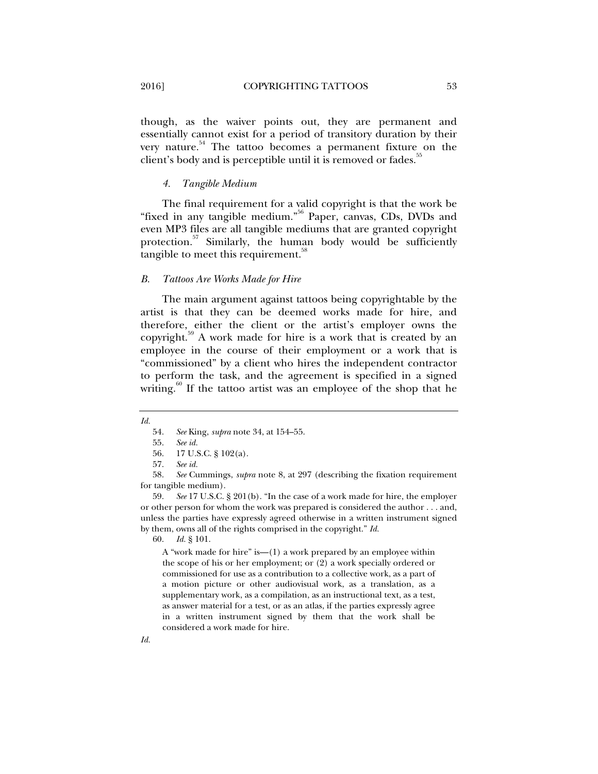though, as the waiver points out, they are permanent and essentially cannot exist for a period of transitory duration by their very nature.<sup>54</sup> The tattoo becomes a permanent fixture on the client's body and is perceptible until it is removed or fades.<sup>35</sup>

#### *4. Tangible Medium*

The final requirement for a valid copyright is that the work be "fixed in any tangible medium."56 Paper, canvas, CDs, DVDs and even MP3 files are all tangible mediums that are granted copyright protection. $57$  Similarly, the human body would be sufficiently tangible to meet this requirement.<sup>38</sup>

#### *B. Tattoos Are Works Made for Hire*

The main argument against tattoos being copyrightable by the artist is that they can be deemed works made for hire, and therefore, either the client or the artist's employer owns the copyright.<sup>39</sup> A work made for hire is a work that is created by an employee in the course of their employment or a work that is "commissioned" by a client who hires the independent contractor to perform the task, and the agreement is specified in a signed writing. $60$  If the tattoo artist was an employee of the shop that he

55. *See id.*

 59. *See* 17 U.S.C. § 201(b). "In the case of a work made for hire, the employer or other person for whom the work was prepared is considered the author . . . and, unless the parties have expressly agreed otherwise in a written instrument signed by them, owns all of the rights comprised in the copyright." *Id.*

60. *Id.* § 101.

A "work made for hire" is—(1) a work prepared by an employee within the scope of his or her employment; or (2) a work specially ordered or commissioned for use as a contribution to a collective work, as a part of a motion picture or other audiovisual work, as a translation, as a supplementary work, as a compilation, as an instructional text, as a test, as answer material for a test, or as an atlas, if the parties expressly agree in a written instrument signed by them that the work shall be considered a work made for hire.

*Id.*

 <sup>54.</sup> *See* King, *supra* note 34, at 154–55.

 <sup>56. 17</sup> U.S.C. § 102(a).

 <sup>57.</sup> *See id.*

 <sup>58.</sup> *See* Cummings, *supra* note 8, at 297 (describing the fixation requirement for tangible medium).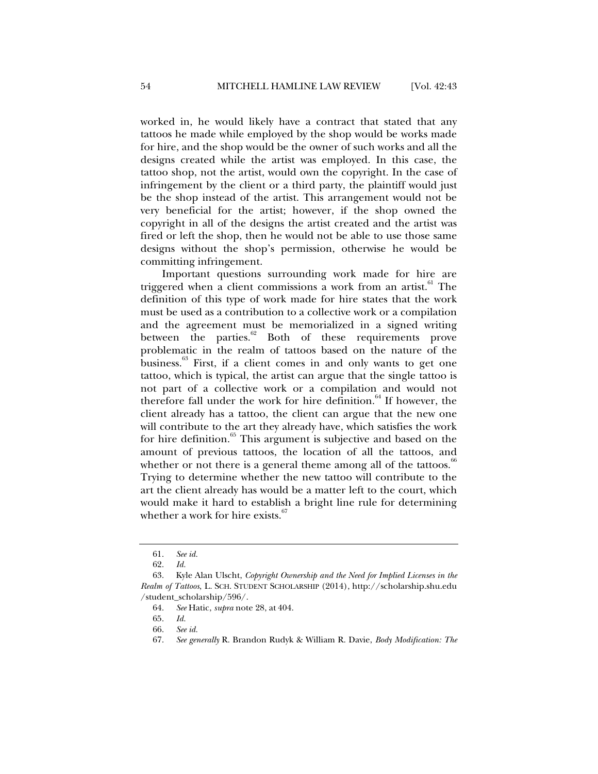worked in, he would likely have a contract that stated that any tattoos he made while employed by the shop would be works made for hire, and the shop would be the owner of such works and all the designs created while the artist was employed. In this case, the tattoo shop, not the artist, would own the copyright. In the case of infringement by the client or a third party, the plaintiff would just be the shop instead of the artist. This arrangement would not be very beneficial for the artist; however, if the shop owned the copyright in all of the designs the artist created and the artist was fired or left the shop, then he would not be able to use those same designs without the shop's permission, otherwise he would be committing infringement.

Important questions surrounding work made for hire are triggered when a client commissions a work from an artist.<sup>61</sup> The definition of this type of work made for hire states that the work must be used as a contribution to a collective work or a compilation and the agreement must be memorialized in a signed writing between the parties. $62$  Both of these requirements prove problematic in the realm of tattoos based on the nature of the business. $63$  First, if a client comes in and only wants to get one tattoo, which is typical, the artist can argue that the single tattoo is not part of a collective work or a compilation and would not therefore fall under the work for hire definition.<sup>64</sup> If however, the client already has a tattoo, the client can argue that the new one will contribute to the art they already have, which satisfies the work for hire definition.<sup>65</sup> This argument is subjective and based on the amount of previous tattoos, the location of all the tattoos, and whether or not there is a general theme among all of the tattoos.<sup>66</sup> Trying to determine whether the new tattoo will contribute to the art the client already has would be a matter left to the court, which would make it hard to establish a bright line rule for determining whether a work for hire exists. $\frac{6}{5}$ 

 <sup>61.</sup> *See id.*

 <sup>62.</sup> *Id.*

 <sup>63.</sup> Kyle Alan Ulscht, *Copyright Ownership and the Need for Implied Licenses in the Realm of Tattoos*, L. SCH. STUDENT SCHOLARSHIP (2014), http://scholarship.shu.edu /student\_scholarship/596/.

 <sup>64.</sup> *See* Hatic, *supra* note 28, at 404.

 <sup>65.</sup> *Id.*

 <sup>66.</sup> *See id.*

 <sup>67.</sup> *See generally* R. Brandon Rudyk & William R. Davie, *Body Modification: The*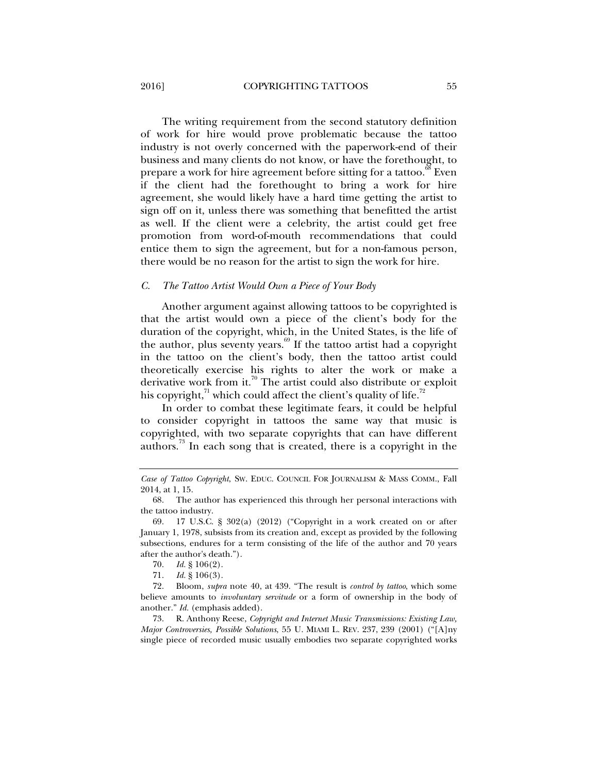The writing requirement from the second statutory definition of work for hire would prove problematic because the tattoo industry is not overly concerned with the paperwork-end of their business and many clients do not know, or have the forethought, to prepare a work for hire agreement before sitting for a tattoo.<sup>88</sup> Even if the client had the forethought to bring a work for hire agreement, she would likely have a hard time getting the artist to sign off on it, unless there was something that benefitted the artist as well. If the client were a celebrity, the artist could get free promotion from word-of-mouth recommendations that could entice them to sign the agreement, but for a non-famous person, there would be no reason for the artist to sign the work for hire.

#### *C. The Tattoo Artist Would Own a Piece of Your Body*

Another argument against allowing tattoos to be copyrighted is that the artist would own a piece of the client's body for the duration of the copyright, which, in the United States, is the life of the author, plus seventy years.<sup>69</sup> If the tattoo artist had a copyright in the tattoo on the client's body, then the tattoo artist could theoretically exercise his rights to alter the work or make a derivative work from it.<sup>70</sup> The artist could also distribute or exploit his copyright, $\alpha$ <sup>1</sup> which could affect the client's quality of life.<sup> $\alpha$ 2</sup>

In order to combat these legitimate fears, it could be helpful to consider copyright in tattoos the same way that music is copyrighted, with two separate copyrights that can have different authors.<sup>73</sup> In each song that is created, there is a copyright in the

*Case of Tattoo Copyright*, SW. EDUC. COUNCIL FOR JOURNALISM & MASS COMM., Fall 2014, at 1, 15.

 <sup>68.</sup> The author has experienced this through her personal interactions with the tattoo industry.

 <sup>69. 17</sup> U.S.C. § 302(a) (2012) ("Copyright in a work created on or after January 1, 1978, subsists from its creation and, except as provided by the following subsections, endures for a term consisting of the life of the author and 70 years after the author's death.").

 <sup>70.</sup> *Id.* § 106(2).

 <sup>71.</sup> *Id.* § 106(3).

 <sup>72.</sup> Bloom, *supra* note 40, at 439. "The result is *control by tattoo*, which some believe amounts to *involuntary servitude* or a form of ownership in the body of another." *Id.* (emphasis added).

 <sup>73.</sup> R. Anthony Reese, *Copyright and Internet Music Transmissions: Existing Law, Major Controversies, Possible Solutions*, 55 U. MIAMI L. REV. 237, 239 (2001) ("[A]ny single piece of recorded music usually embodies two separate copyrighted works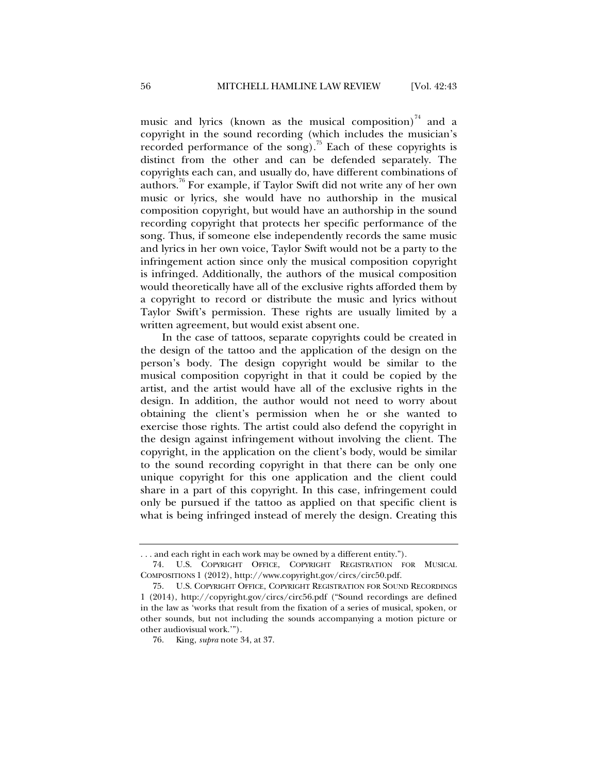music and lyrics (known as the musical composition) $\frac{1}{4}$  and a copyright in the sound recording (which includes the musician's recorded performance of the song).<sup>75</sup> Each of these copyrights is distinct from the other and can be defended separately. The copyrights each can, and usually do, have different combinations of authors.76 For example, if Taylor Swift did not write any of her own music or lyrics, she would have no authorship in the musical composition copyright, but would have an authorship in the sound recording copyright that protects her specific performance of the song. Thus, if someone else independently records the same music and lyrics in her own voice, Taylor Swift would not be a party to the infringement action since only the musical composition copyright is infringed. Additionally, the authors of the musical composition would theoretically have all of the exclusive rights afforded them by a copyright to record or distribute the music and lyrics without Taylor Swift's permission. These rights are usually limited by a written agreement, but would exist absent one.

In the case of tattoos, separate copyrights could be created in the design of the tattoo and the application of the design on the person's body. The design copyright would be similar to the musical composition copyright in that it could be copied by the artist, and the artist would have all of the exclusive rights in the design. In addition, the author would not need to worry about obtaining the client's permission when he or she wanted to exercise those rights. The artist could also defend the copyright in the design against infringement without involving the client. The copyright, in the application on the client's body, would be similar to the sound recording copyright in that there can be only one unique copyright for this one application and the client could share in a part of this copyright. In this case, infringement could only be pursued if the tattoo as applied on that specific client is what is being infringed instead of merely the design. Creating this

<sup>. . .</sup> and each right in each work may be owned by a different entity.").

 <sup>74.</sup> U.S. COPYRIGHT OFFICE, COPYRIGHT REGISTRATION FOR MUSICAL COMPOSITIONS 1 (2012), http://www.copyright.gov/circs/circ50.pdf.

 <sup>75.</sup> U.S. COPYRIGHT OFFICE, COPYRIGHT REGISTRATION FOR SOUND RECORDINGS 1 (2014), http://copyright.gov/circs/circ56.pdf ("Sound recordings are defined in the law as 'works that result from the fixation of a series of musical, spoken, or other sounds, but not including the sounds accompanying a motion picture or other audiovisual work.'").

 <sup>76.</sup> King, *supra* note 34, at 37.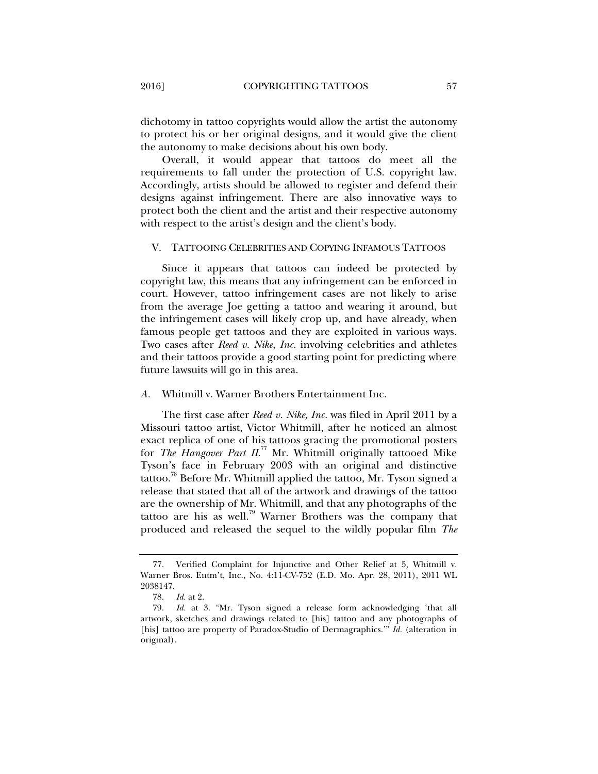dichotomy in tattoo copyrights would allow the artist the autonomy to protect his or her original designs, and it would give the client the autonomy to make decisions about his own body.

Overall, it would appear that tattoos do meet all the requirements to fall under the protection of U.S. copyright law. Accordingly, artists should be allowed to register and defend their designs against infringement. There are also innovative ways to protect both the client and the artist and their respective autonomy with respect to the artist's design and the client's body.

#### V. TATTOOING CELEBRITIES AND COPYING INFAMOUS TATTOOS

Since it appears that tattoos can indeed be protected by copyright law, this means that any infringement can be enforced in court. However, tattoo infringement cases are not likely to arise from the average Joe getting a tattoo and wearing it around, but the infringement cases will likely crop up, and have already, when famous people get tattoos and they are exploited in various ways. Two cases after *Reed v. Nike, Inc.* involving celebrities and athletes and their tattoos provide a good starting point for predicting where future lawsuits will go in this area.

#### *A.* Whitmill v. Warner Brothers Entertainment Inc.

The first case after *Reed v. Nike, Inc.* was filed in April 2011 by a Missouri tattoo artist, Victor Whitmill, after he noticed an almost exact replica of one of his tattoos gracing the promotional posters for *The Hangover Part II.<sup>77</sup>* Mr. Whitmill originally tattooed Mike Tyson's face in February 2003 with an original and distinctive tattoo.<sup>78</sup> Before Mr. Whitmill applied the tattoo, Mr. Tyson signed a release that stated that all of the artwork and drawings of the tattoo are the ownership of Mr. Whitmill, and that any photographs of the tattoo are his as well.<sup>79</sup> Warner Brothers was the company that produced and released the sequel to the wildly popular film *The* 

 <sup>77.</sup> Verified Complaint for Injunctive and Other Relief at 5, Whitmill v. Warner Bros. Entm't, Inc., No. 4:11-CV-752 (E.D. Mo. Apr. 28, 2011), 2011 WL 2038147.

 <sup>78.</sup> *Id.* at 2.

 <sup>79.</sup> *Id.* at 3. "Mr. Tyson signed a release form acknowledging 'that all artwork, sketches and drawings related to [his] tattoo and any photographs of [his] tattoo are property of Paradox-Studio of Dermagraphics.'" *Id.* (alteration in original).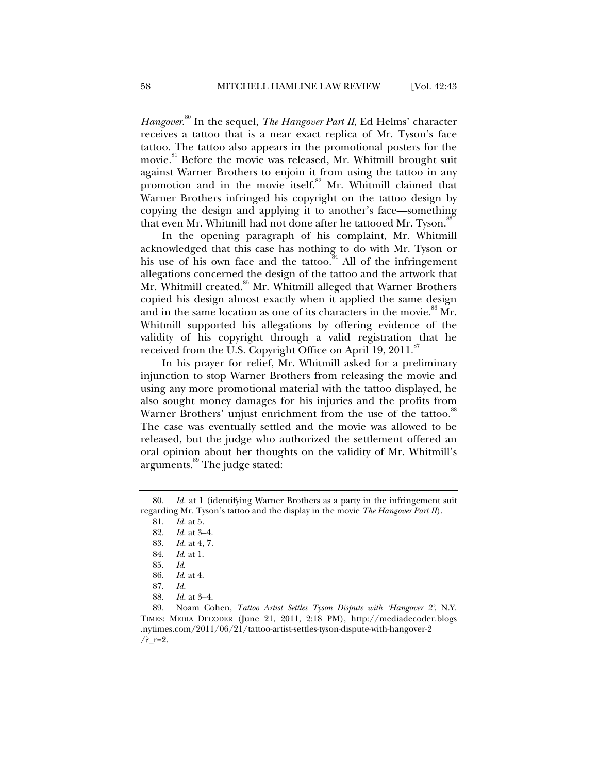*Hangover*. 80 In the sequel, *The Hangover Part II*, Ed Helms' character receives a tattoo that is a near exact replica of Mr. Tyson's face tattoo. The tattoo also appears in the promotional posters for the movie.<sup>81</sup> Before the movie was released, Mr. Whitmill brought suit against Warner Brothers to enjoin it from using the tattoo in any promotion and in the movie itself.<sup>82</sup> Mr. Whitmill claimed that Warner Brothers infringed his copyright on the tattoo design by copying the design and applying it to another's face—something that even Mr. Whitmill had not done after he tattooed Mr. Tyson.<sup>83</sup>

In the opening paragraph of his complaint, Mr. Whitmill acknowledged that this case has nothing to do with Mr. Tyson or his use of his own face and the tattoo.<sup>84</sup> All of the infringement allegations concerned the design of the tattoo and the artwork that Mr. Whitmill created.<sup>85</sup> Mr. Whitmill alleged that Warner Brothers copied his design almost exactly when it applied the same design and in the same location as one of its characters in the movie.<sup>86</sup> Mr. Whitmill supported his allegations by offering evidence of the validity of his copyright through a valid registration that he received from the U.S. Copyright Office on April 19, 2011.<sup>87</sup>

In his prayer for relief, Mr. Whitmill asked for a preliminary injunction to stop Warner Brothers from releasing the movie and using any more promotional material with the tattoo displayed, he also sought money damages for his injuries and the profits from Warner Brothers' unjust enrichment from the use of the tattoo.<sup>88</sup> The case was eventually settled and the movie was allowed to be released, but the judge who authorized the settlement offered an oral opinion about her thoughts on the validity of Mr. Whitmill's arguments.<sup>89</sup> The judge stated:

*Id.* at 1 (identifying Warner Brothers as a party in the infringement suit regarding Mr. Tyson's tattoo and the display in the movie *The Hangover Part II*).

 <sup>81.</sup> *Id.* at 5.

*Id.* at 3-4.

 <sup>83.</sup> *Id.* at 4, 7.

 <sup>84.</sup> *Id*. at 1.

 <sup>85.</sup> *Id*.

 <sup>86.</sup> *Id*. at 4.

 <sup>87.</sup> *Id.*

 <sup>88.</sup> *Id.* at 3–4.

 <sup>89.</sup> Noam Cohen, *Tattoo Artist Settles Tyson Dispute with 'Hangover 2'*, N.Y. TIMES: MEDIA DECODER (June 21, 2011, 2:18 PM), http://mediadecoder.blogs .nytimes.com/2011/06/21/tattoo-artist-settles-tyson-dispute-with-hangover-2  $/?$   $r=2$ .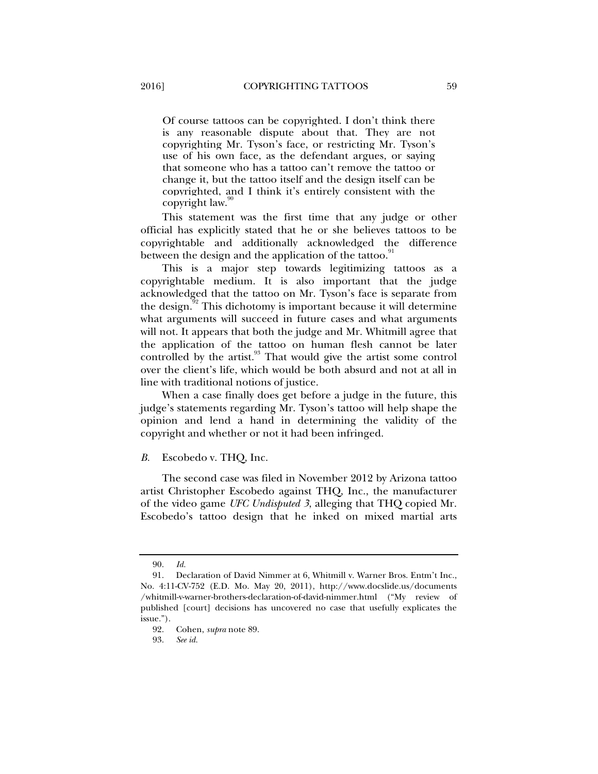Of course tattoos can be copyrighted. I don't think there is any reasonable dispute about that. They are not copyrighting Mr. Tyson's face, or restricting Mr. Tyson's use of his own face, as the defendant argues, or saying that someone who has a tattoo can't remove the tattoo or change it, but the tattoo itself and the design itself can be copyrighted, and I think it's entirely consistent with the copyright law.

This statement was the first time that any judge or other official has explicitly stated that he or she believes tattoos to be copyrightable and additionally acknowledged the difference between the design and the application of the tattoo.<sup>91</sup>

This is a major step towards legitimizing tattoos as a copyrightable medium. It is also important that the judge acknowledged that the tattoo on Mr. Tyson's face is separate from the design. $92$  This dichotomy is important because it will determine what arguments will succeed in future cases and what arguments will not. It appears that both the judge and Mr. Whitmill agree that the application of the tattoo on human flesh cannot be later controlled by the artist.<sup>93</sup> That would give the artist some control over the client's life, which would be both absurd and not at all in line with traditional notions of justice.

When a case finally does get before a judge in the future, this judge's statements regarding Mr. Tyson's tattoo will help shape the opinion and lend a hand in determining the validity of the copyright and whether or not it had been infringed.

#### *B.* Escobedo v. THQ, Inc.

The second case was filed in November 2012 by Arizona tattoo artist Christopher Escobedo against THQ, Inc., the manufacturer of the video game *UFC Undisputed 3*, alleging that THQ copied Mr. Escobedo's tattoo design that he inked on mixed martial arts

 <sup>90.</sup> *Id.*

 <sup>91.</sup> Declaration of David Nimmer at 6, Whitmill v. Warner Bros. Entm't Inc., No. 4:11-CV-752 (E.D. Mo. May 20, 2011), http://www.docslide.us/documents /whitmill-v-warner-brothers-declaration-of-david-nimmer.html ("My review of published [court] decisions has uncovered no case that usefully explicates the issue.").

 <sup>92.</sup> Cohen, *supra* note 89.

 <sup>93.</sup> *See id.*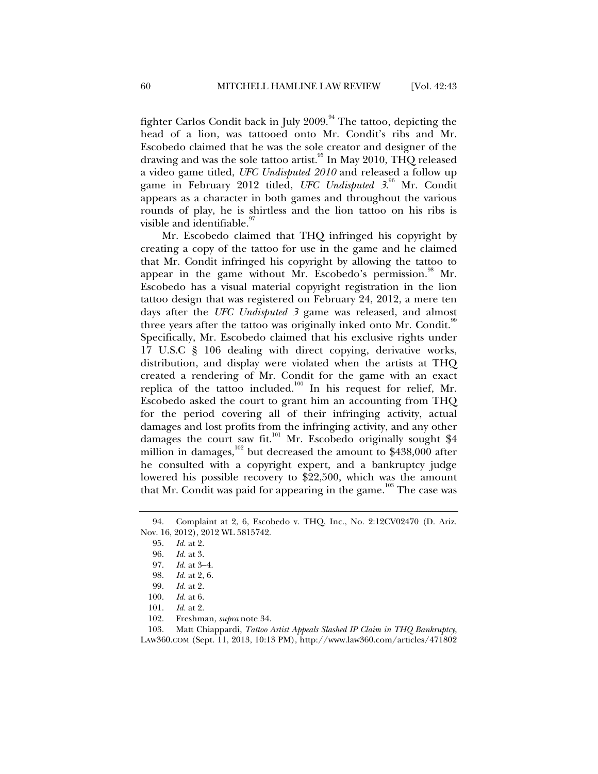fighter Carlos Condit back in July  $2009$ .<sup>94</sup> The tattoo, depicting the head of a lion, was tattooed onto Mr. Condit's ribs and Mr. Escobedo claimed that he was the sole creator and designer of the drawing and was the sole tattoo artist.<sup>95</sup> In May 2010, THQ released a video game titled, *UFC Undisputed 2010* and released a follow up game in February 2012 titled, UFC Undisputed 3.<sup>96</sup> Mr. Condit appears as a character in both games and throughout the various rounds of play, he is shirtless and the lion tattoo on his ribs is visible and identifiable.

Mr. Escobedo claimed that THQ infringed his copyright by creating a copy of the tattoo for use in the game and he claimed that Mr. Condit infringed his copyright by allowing the tattoo to appear in the game without Mr. Escobedo's permission.<sup>98</sup> Mr. Escobedo has a visual material copyright registration in the lion tattoo design that was registered on February 24, 2012, a mere ten days after the *UFC Undisputed 3* game was released, and almost three years after the tattoo was originally inked onto Mr. Condit.<sup>99</sup> Specifically, Mr. Escobedo claimed that his exclusive rights under 17 U.S.C § 106 dealing with direct copying, derivative works, distribution, and display were violated when the artists at THQ created a rendering of Mr. Condit for the game with an exact replica of the tattoo included.<sup>100</sup> In his request for relief, Mr. Escobedo asked the court to grant him an accounting from THQ for the period covering all of their infringing activity, actual damages and lost profits from the infringing activity, and any other damages the court saw fit.<sup>101</sup> Mr. Escobedo originally sought \$4 million in damages,<sup>102</sup> but decreased the amount to  $\frac{$438,000}{4}$  after he consulted with a copyright expert, and a bankruptcy judge lowered his possible recovery to \$22,500, which was the amount that Mr. Condit was paid for appearing in the game.<sup>103</sup> The case was

 <sup>94.</sup> Complaint at 2, 6, Escobedo v. THQ, Inc., No. 2:12CV02470 (D. Ariz. Nov. 16, 2012), 2012 WL 5815742.

 <sup>95.</sup> *Id.* at 2.

 <sup>96.</sup> *Id.* at 3.

 <sup>97.</sup> *Id.* at 3–4.

 <sup>98.</sup> *Id.* at 2, 6.

 <sup>99.</sup> *Id.* at 2.

 <sup>100.</sup> *Id.* at 6.

 <sup>101.</sup> *Id.* at 2.

 <sup>102.</sup> Freshman, *supra* note 34.

 <sup>103.</sup> Matt Chiappardi, *Tattoo Artist Appeals Slashed IP Claim in THQ Bankruptcy*, LAW360.COM (Sept. 11, 2013, 10:13 PM), http://www.law360.com/articles/471802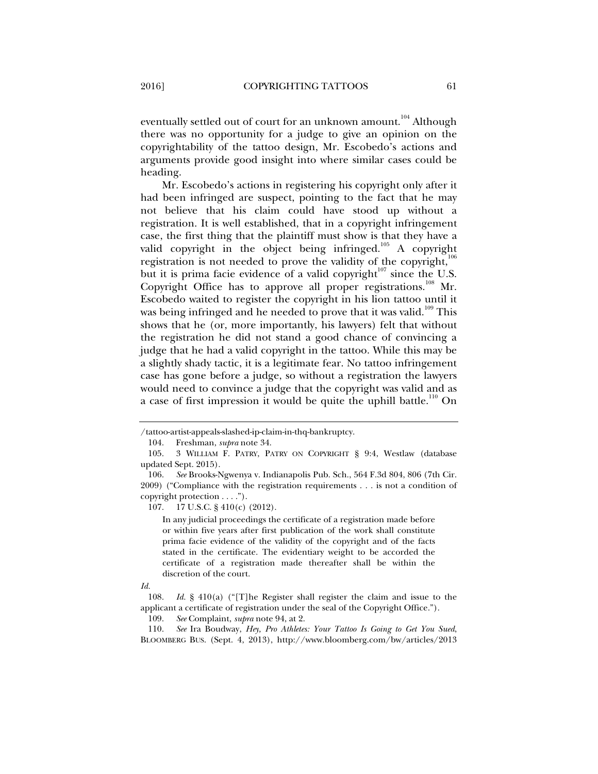eventually settled out of court for an unknown amount.<sup>104</sup> Although there was no opportunity for a judge to give an opinion on the copyrightability of the tattoo design, Mr. Escobedo's actions and arguments provide good insight into where similar cases could be heading.

Mr. Escobedo's actions in registering his copyright only after it had been infringed are suspect, pointing to the fact that he may not believe that his claim could have stood up without a registration. It is well established, that in a copyright infringement case, the first thing that the plaintiff must show is that they have a valid copyright in the object being infringed.<sup>105</sup> A copyright registration is not needed to prove the validity of the copyright, $106$ but it is prima facie evidence of a valid copyright<sup> $107$ </sup> since the U.S. Copyright Office has to approve all proper registrations.<sup>108</sup> Mr. Escobedo waited to register the copyright in his lion tattoo until it was being infringed and he needed to prove that it was valid.<sup>109</sup> This shows that he (or, more importantly, his lawyers) felt that without the registration he did not stand a good chance of convincing a judge that he had a valid copyright in the tattoo. While this may be a slightly shady tactic, it is a legitimate fear. No tattoo infringement case has gone before a judge, so without a registration the lawyers would need to convince a judge that the copyright was valid and as a case of first impression it would be quite the uphill battle.<sup>110</sup> On

In any judicial proceedings the certificate of a registration made before or within five years after first publication of the work shall constitute prima facie evidence of the validity of the copyright and of the facts stated in the certificate. The evidentiary weight to be accorded the certificate of a registration made thereafter shall be within the discretion of the court.

<sup>/</sup>tattoo-artist-appeals-slashed-ip-claim-in-thq-bankruptcy.

 <sup>104.</sup> Freshman, *supra* note 34.

 <sup>105. 3</sup> WILLIAM F. PATRY, PATRY ON COPYRIGHT § 9:4, Westlaw (database updated Sept. 2015).

 <sup>106.</sup> *See* Brooks-Ngwenya v. Indianapolis Pub. Sch., 564 F.3d 804, 806 (7th Cir. 2009) ("Compliance with the registration requirements . . . is not a condition of copyright protection . . . .").

 <sup>107. 17</sup> U.S.C. § 410(c) (2012).

*Id.*

 <sup>108.</sup> *Id.* § 410(a) ("[T]he Register shall register the claim and issue to the applicant a certificate of registration under the seal of the Copyright Office.").

 <sup>109.</sup> *See* Complaint, *supra* note 94, at 2.

 <sup>110.</sup> *See* Ira Boudway, *Hey, Pro Athletes: Your Tattoo Is Going to Get You Sued*, BLOOMBERG BUS. (Sept. 4, 2013), http://www.bloomberg.com/bw/articles/2013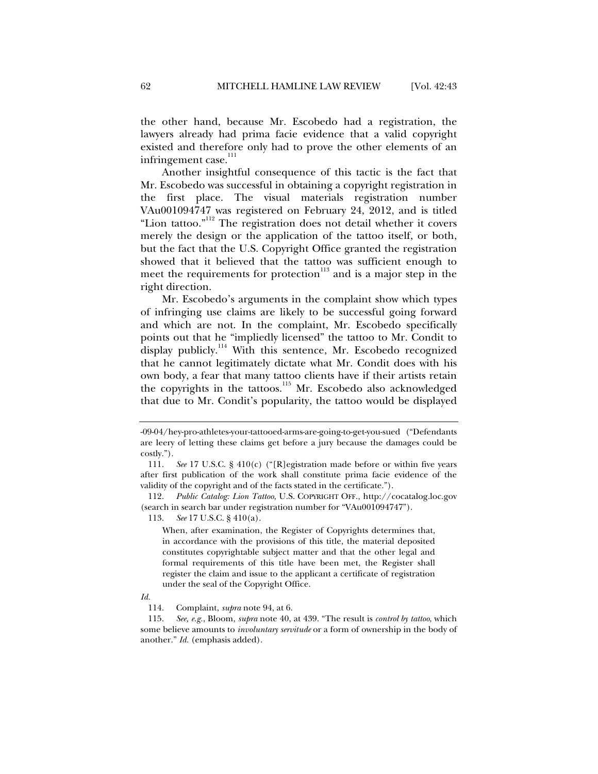the other hand, because Mr. Escobedo had a registration, the lawyers already had prima facie evidence that a valid copyright existed and therefore only had to prove the other elements of an infringement case.<sup>111</sup>

Another insightful consequence of this tactic is the fact that Mr. Escobedo was successful in obtaining a copyright registration in the first place. The visual materials registration number VAu001094747 was registered on February 24, 2012, and is titled "Lion tattoo."<sup>112</sup> The registration does not detail whether it covers merely the design or the application of the tattoo itself, or both, but the fact that the U.S. Copyright Office granted the registration showed that it believed that the tattoo was sufficient enough to meet the requirements for protection<sup>113</sup> and is a major step in the right direction.

Mr. Escobedo's arguments in the complaint show which types of infringing use claims are likely to be successful going forward and which are not. In the complaint, Mr. Escobedo specifically points out that he "impliedly licensed" the tattoo to Mr. Condit to display publicly.<sup>114</sup> With this sentence, Mr. Escobedo recognized that he cannot legitimately dictate what Mr. Condit does with his own body, a fear that many tattoo clients have if their artists retain the copyrights in the tattoos.<sup>115</sup> Mr. Escobedo also acknowledged that due to Mr. Condit's popularity, the tattoo would be displayed

 112. *Public Catalog: Lion Tattoo*, U.S. COPYRIGHT OFF., http://cocatalog.loc.gov (search in search bar under registration number for "VAu001094747").

113. *See* 17 U.S.C. § 410(a).

When, after examination, the Register of Copyrights determines that, in accordance with the provisions of this title, the material deposited constitutes copyrightable subject matter and that the other legal and formal requirements of this title have been met, the Register shall register the claim and issue to the applicant a certificate of registration under the seal of the Copyright Office.

*Id.*

<sup>-09-04/</sup>hey-pro-athletes-your-tattooed-arms-are-going-to-get-you-sued ("Defendants are leery of letting these claims get before a jury because the damages could be costly.").

 <sup>111.</sup> *See* 17 U.S.C. § 410(c) ("[R]egistration made before or within five years after first publication of the work shall constitute prima facie evidence of the validity of the copyright and of the facts stated in the certificate.").

 <sup>114.</sup> Complaint, *supra* note 94, at 6.

 <sup>115.</sup> *See, e.g.*, Bloom, *supra* note 40, at 439. "The result is *control by tattoo*, which some believe amounts to *involuntary servitude* or a form of ownership in the body of another." *Id.* (emphasis added).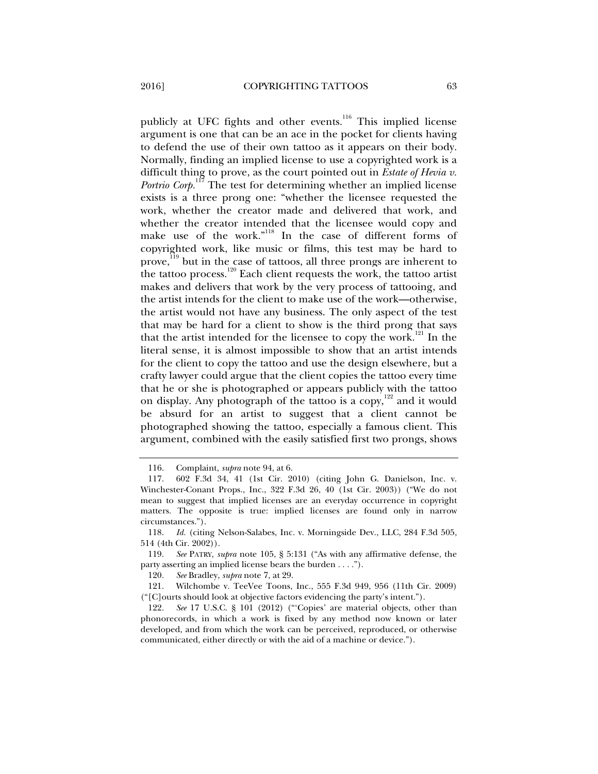publicly at UFC fights and other events.<sup>116</sup> This implied license argument is one that can be an ace in the pocket for clients having to defend the use of their own tattoo as it appears on their body. Normally, finding an implied license to use a copyrighted work is a difficult thing to prove, as the court pointed out in *Estate of Hevia v. Portrio Corp.*<sup>117</sup> The test for determining whether an implied license exists is a three prong one: "whether the licensee requested the work, whether the creator made and delivered that work, and whether the creator intended that the licensee would copy and make use of the work."<sup>118</sup> In the case of different forms of copyrighted work, like music or films, this test may be hard to prove,<sup>119</sup> but in the case of tattoos, all three prongs are inherent to the tattoo process.120 Each client requests the work, the tattoo artist makes and delivers that work by the very process of tattooing, and the artist intends for the client to make use of the work—otherwise, the artist would not have any business. The only aspect of the test that may be hard for a client to show is the third prong that says that the artist intended for the licensee to copy the work.<sup>121</sup> In the literal sense, it is almost impossible to show that an artist intends for the client to copy the tattoo and use the design elsewhere, but a crafty lawyer could argue that the client copies the tattoo every time that he or she is photographed or appears publicly with the tattoo on display. Any photograph of the tattoo is a copy,  $122$  and it would be absurd for an artist to suggest that a client cannot be photographed showing the tattoo, especially a famous client. This argument, combined with the easily satisfied first two prongs, shows

 <sup>116.</sup> Complaint, *supra* note 94, at 6.

 <sup>117. 602</sup> F.3d 34, 41 (1st Cir. 2010) (citing John G. Danielson, Inc. v. Winchester-Conant Props., Inc., 322 F.3d 26, 40 (1st Cir. 2003)) ("We do not mean to suggest that implied licenses are an everyday occurrence in copyright matters. The opposite is true: implied licenses are found only in narrow circumstances.").

 <sup>118.</sup> *Id.* (citing Nelson-Salabes, Inc. v. Morningside Dev., LLC, 284 F.3d 505, 514 (4th Cir. 2002)).

 <sup>119.</sup> *See* PATRY, *supra* note 105, § 5:131 ("As with any affirmative defense, the party asserting an implied license bears the burden . . . .").

 <sup>120.</sup> *See* Bradley, *supra* note 7, at 29.

 <sup>121.</sup> Wilchombe v. TeeVee Toons, Inc., 555 F.3d 949, 956 (11th Cir. 2009) ("[C]ourts should look at objective factors evidencing the party's intent.").

 <sup>122.</sup> *See* 17 U.S.C. § 101 (2012) ("'Copies' are material objects, other than phonorecords, in which a work is fixed by any method now known or later developed, and from which the work can be perceived, reproduced, or otherwise communicated, either directly or with the aid of a machine or device.").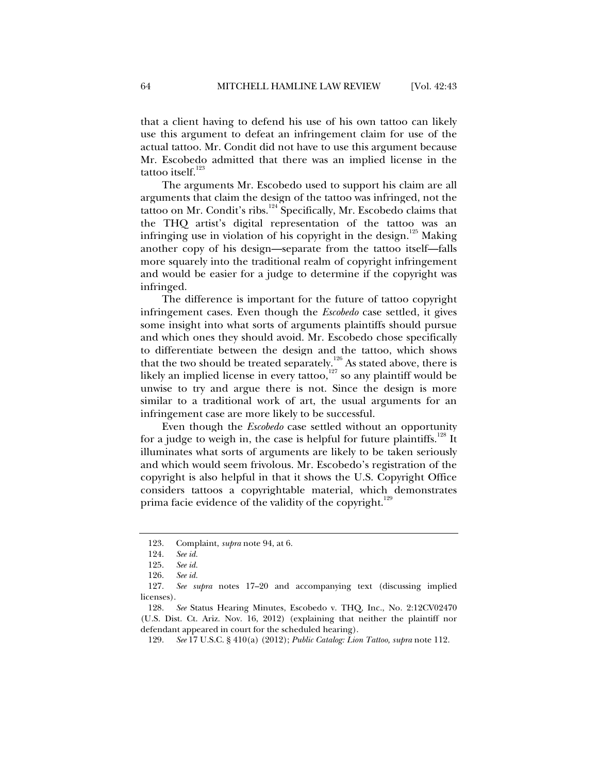that a client having to defend his use of his own tattoo can likely use this argument to defeat an infringement claim for use of the actual tattoo. Mr. Condit did not have to use this argument because Mr. Escobedo admitted that there was an implied license in the tattoo itself. $123$ 

The arguments Mr. Escobedo used to support his claim are all arguments that claim the design of the tattoo was infringed, not the tattoo on Mr. Condit's ribs.<sup>124</sup> Specifically, Mr. Escobedo claims that the THQ artist's digital representation of the tattoo was an infringing use in violation of his copyright in the design.<sup>125</sup> Making another copy of his design—separate from the tattoo itself—falls more squarely into the traditional realm of copyright infringement and would be easier for a judge to determine if the copyright was infringed.

The difference is important for the future of tattoo copyright infringement cases. Even though the *Escobedo* case settled, it gives some insight into what sorts of arguments plaintiffs should pursue and which ones they should avoid. Mr. Escobedo chose specifically to differentiate between the design and the tattoo, which shows that the two should be treated separately.<sup>126</sup> As stated above, there is likely an implied license in every tattoo, $\frac{127}{127}$  so any plaintiff would be unwise to try and argue there is not. Since the design is more similar to a traditional work of art, the usual arguments for an infringement case are more likely to be successful.

Even though the *Escobedo* case settled without an opportunity for a judge to weigh in, the case is helpful for future plaintiffs.<sup>128</sup> It illuminates what sorts of arguments are likely to be taken seriously and which would seem frivolous. Mr. Escobedo's registration of the copyright is also helpful in that it shows the U.S. Copyright Office considers tattoos a copyrightable material, which demonstrates prima facie evidence of the validity of the copyright.<sup>129</sup>

 <sup>123.</sup> Complaint, *supra* note 94, at 6.

 <sup>124.</sup> *See id.*

 <sup>125.</sup> *See id.*

 <sup>126.</sup> *See id.*

 <sup>127.</sup> *See supra* notes 17–20 and accompanying text (discussing implied licenses).

 <sup>128.</sup> *See* Status Hearing Minutes, Escobedo v. THQ, Inc., No. 2:12CV02470 (U.S. Dist. Ct. Ariz. Nov. 16, 2012) (explaining that neither the plaintiff nor defendant appeared in court for the scheduled hearing).

 <sup>129.</sup> *See* 17 U.S.C. § 410(a) (2012); *Public Catalog: Lion Tattoo, supra* note 112.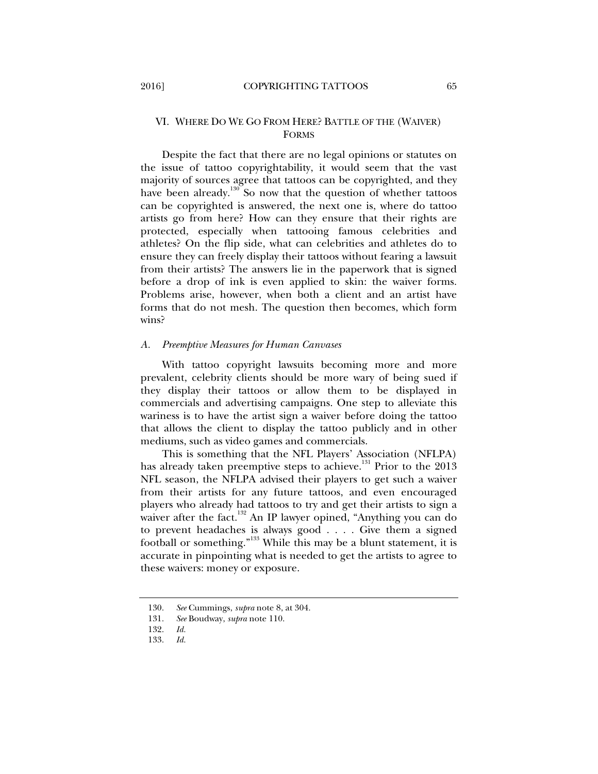#### VI. WHERE DO WE GO FROM HERE? BATTLE OF THE (WAIVER) FORMS

Despite the fact that there are no legal opinions or statutes on the issue of tattoo copyrightability, it would seem that the vast majority of sources agree that tattoos can be copyrighted, and they have been already.<sup>130</sup> So now that the question of whether tattoos can be copyrighted is answered, the next one is, where do tattoo artists go from here? How can they ensure that their rights are protected, especially when tattooing famous celebrities and athletes? On the flip side, what can celebrities and athletes do to ensure they can freely display their tattoos without fearing a lawsuit from their artists? The answers lie in the paperwork that is signed before a drop of ink is even applied to skin: the waiver forms. Problems arise, however, when both a client and an artist have forms that do not mesh. The question then becomes, which form wins?

#### *A. Preemptive Measures for Human Canvases*

With tattoo copyright lawsuits becoming more and more prevalent, celebrity clients should be more wary of being sued if they display their tattoos or allow them to be displayed in commercials and advertising campaigns. One step to alleviate this wariness is to have the artist sign a waiver before doing the tattoo that allows the client to display the tattoo publicly and in other mediums, such as video games and commercials.

This is something that the NFL Players' Association (NFLPA) has already taken preemptive steps to achieve.<sup>131</sup> Prior to the 2013 NFL season, the NFLPA advised their players to get such a waiver from their artists for any future tattoos, and even encouraged players who already had tattoos to try and get their artists to sign a waiver after the fact.<sup>132</sup> An IP lawyer opined, "Anything you can do to prevent headaches is always good . . . . Give them a signed football or something."133 While this may be a blunt statement, it is accurate in pinpointing what is needed to get the artists to agree to these waivers: money or exposure.

 <sup>130.</sup> *See* Cummings, *supra* note 8, at 304.

 <sup>131.</sup> *See* Boudway, *supra* note 110.

 <sup>132.</sup> *Id.*

 <sup>133.</sup> *Id.*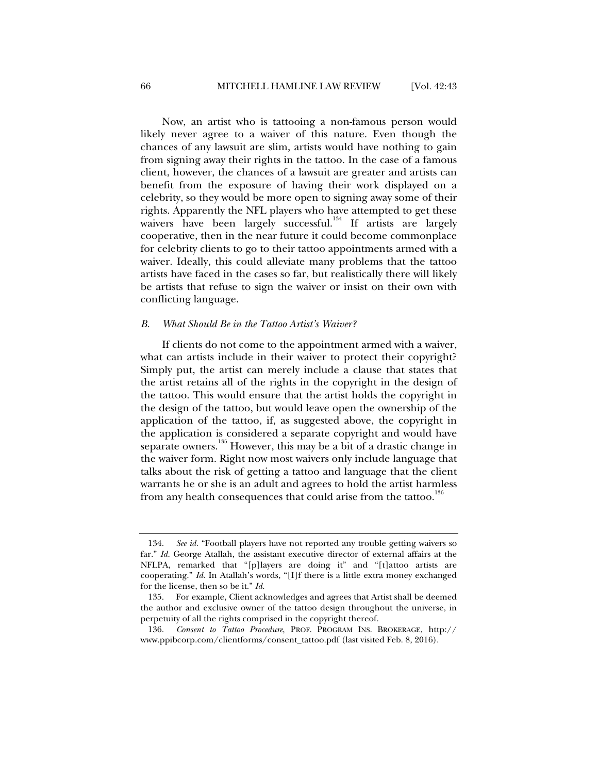Now, an artist who is tattooing a non-famous person would likely never agree to a waiver of this nature. Even though the chances of any lawsuit are slim, artists would have nothing to gain from signing away their rights in the tattoo. In the case of a famous client, however, the chances of a lawsuit are greater and artists can benefit from the exposure of having their work displayed on a celebrity, so they would be more open to signing away some of their rights. Apparently the NFL players who have attempted to get these waivers have been largely successful.<sup>134</sup> If artists are largely cooperative, then in the near future it could become commonplace for celebrity clients to go to their tattoo appointments armed with a waiver. Ideally, this could alleviate many problems that the tattoo artists have faced in the cases so far, but realistically there will likely be artists that refuse to sign the waiver or insist on their own with conflicting language.

#### *B. What Should Be in the Tattoo Artist's Waiver?*

If clients do not come to the appointment armed with a waiver, what can artists include in their waiver to protect their copyright? Simply put, the artist can merely include a clause that states that the artist retains all of the rights in the copyright in the design of the tattoo. This would ensure that the artist holds the copyright in the design of the tattoo, but would leave open the ownership of the application of the tattoo, if, as suggested above, the copyright in the application is considered a separate copyright and would have separate owners.<sup>135</sup> However, this may be a bit of a drastic change in the waiver form. Right now most waivers only include language that talks about the risk of getting a tattoo and language that the client warrants he or she is an adult and agrees to hold the artist harmless from any health consequences that could arise from the tattoo.<sup>136</sup>

 <sup>134.</sup> *See id.* "Football players have not reported any trouble getting waivers so far." *Id.* George Atallah, the assistant executive director of external affairs at the NFLPA, remarked that "[p]layers are doing it" and "[t]attoo artists are cooperating." *Id.* In Atallah's words, "[I]f there is a little extra money exchanged for the license, then so be it." *Id.*

 <sup>135.</sup> For example, Client acknowledges and agrees that Artist shall be deemed the author and exclusive owner of the tattoo design throughout the universe, in perpetuity of all the rights comprised in the copyright thereof.

 <sup>136.</sup> *Consent to Tattoo Procedure*, PROF. PROGRAM INS. BROKERAGE, http:// www.ppibcorp.com/clientforms/consent\_tattoo.pdf (last visited Feb. 8, 2016).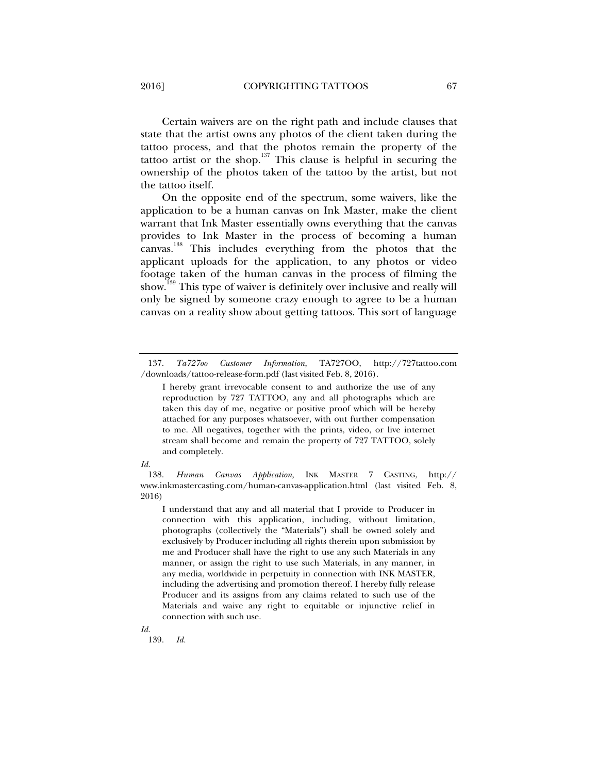Certain waivers are on the right path and include clauses that state that the artist owns any photos of the client taken during the tattoo process, and that the photos remain the property of the tattoo artist or the shop.<sup>137</sup> This clause is helpful in securing the ownership of the photos taken of the tattoo by the artist, but not the tattoo itself.

On the opposite end of the spectrum, some waivers, like the application to be a human canvas on Ink Master, make the client warrant that Ink Master essentially owns everything that the canvas provides to Ink Master in the process of becoming a human canvas.<sup>138</sup> This includes everything from the photos that the applicant uploads for the application, to any photos or video footage taken of the human canvas in the process of filming the show.<sup>139</sup> This type of waiver is definitely over inclusive and really will only be signed by someone crazy enough to agree to be a human canvas on a reality show about getting tattoos. This sort of language

*Id.*

I understand that any and all material that I provide to Producer in connection with this application, including, without limitation, photographs (collectively the "Materials") shall be owned solely and exclusively by Producer including all rights therein upon submission by me and Producer shall have the right to use any such Materials in any manner, or assign the right to use such Materials, in any manner, in any media, worldwide in perpetuity in connection with INK MASTER, including the advertising and promotion thereof. I hereby fully release Producer and its assigns from any claims related to such use of the Materials and waive any right to equitable or injunctive relief in connection with such use.

*Id.*

139. *Id.*

 <sup>137.</sup> *Ta727oo Customer Information*, TA727OO, http://727tattoo.com /downloads/tattoo-release-form.pdf (last visited Feb. 8, 2016).

I hereby grant irrevocable consent to and authorize the use of any reproduction by 727 TATTOO, any and all photographs which are taken this day of me, negative or positive proof which will be hereby attached for any purposes whatsoever, with out further compensation to me. All negatives, together with the prints, video, or live internet stream shall become and remain the property of 727 TATTOO, solely and completely.

 <sup>138.</sup> *Human Canvas Application*, INK MASTER 7 CASTING, http:// www.inkmastercasting.com/human-canvas-application.html (last visited Feb. 8, 2016)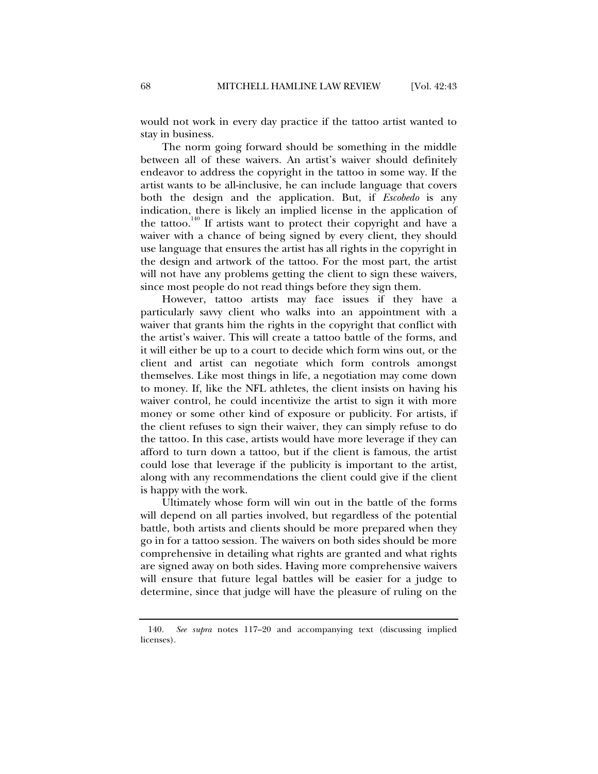would not work in every day practice if the tattoo artist wanted to stay in business.

The norm going forward should be something in the middle between all of these waivers. An artist's waiver should definitely endeavor to address the copyright in the tattoo in some way. If the artist wants to be all-inclusive, he can include language that covers both the design and the application. But, if *Escobedo* is any indication, there is likely an implied license in the application of the tattoo.<sup>140</sup> If artists want to protect their copyright and have a waiver with a chance of being signed by every client, they should use language that ensures the artist has all rights in the copyright in the design and artwork of the tattoo. For the most part, the artist will not have any problems getting the client to sign these waivers, since most people do not read things before they sign them.

However, tattoo artists may face issues if they have a particularly savvy client who walks into an appointment with a waiver that grants him the rights in the copyright that conflict with the artist's waiver. This will create a tattoo battle of the forms, and it will either be up to a court to decide which form wins out, or the client and artist can negotiate which form controls amongst themselves. Like most things in life, a negotiation may come down to money. If, like the NFL athletes, the client insists on having his waiver control, he could incentivize the artist to sign it with more money or some other kind of exposure or publicity. For artists, if the client refuses to sign their waiver, they can simply refuse to do the tattoo. In this case, artists would have more leverage if they can afford to turn down a tattoo, but if the client is famous, the artist could lose that leverage if the publicity is important to the artist, along with any recommendations the client could give if the client is happy with the work.

Ultimately whose form will win out in the battle of the forms will depend on all parties involved, but regardless of the potential battle, both artists and clients should be more prepared when they go in for a tattoo session. The waivers on both sides should be more comprehensive in detailing what rights are granted and what rights are signed away on both sides. Having more comprehensive waivers will ensure that future legal battles will be easier for a judge to determine, since that judge will have the pleasure of ruling on the

 <sup>140.</sup> *See supra* notes 117–20 and accompanying text (discussing implied licenses).